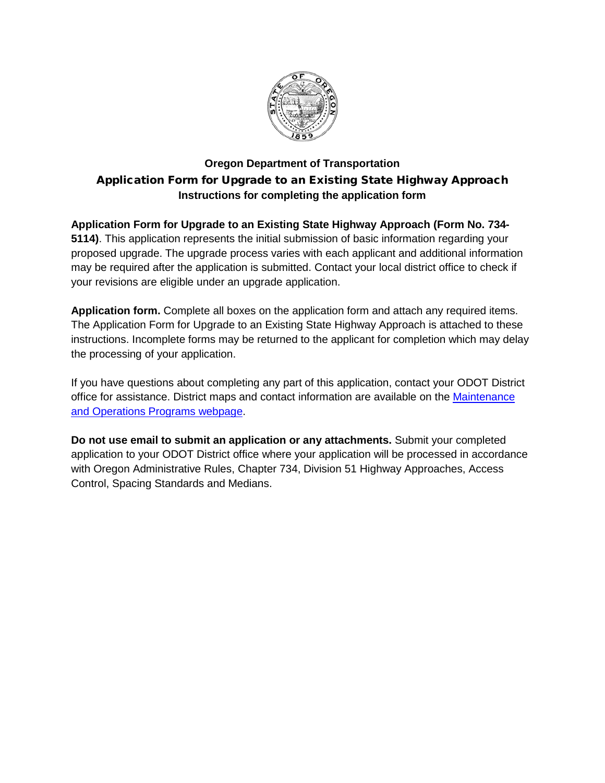

## **Oregon Department of Transportation** Application Form for Upgrade to an Existing State Highway Approach **Instructions for completing the application form**

**Application Form for Upgrade to an Existing State Highway Approach (Form No. 734- 5114)**. This application represents the initial submission of basic information regarding your proposed upgrade. The upgrade process varies with each applicant and additional information may be required after the application is submitted. Contact your local district office to check if your revisions are eligible under an upgrade application.

**Application form.** Complete all boxes on the application form and attach any required items. The Application Form for Upgrade to an Existing State Highway Approach is attached to these instructions. Incomplete forms may be returned to the applicant for completion which may delay the processing of your application.

If you have questions about completing any part of this application, contact your ODOT District office for assistance. District maps and contact information are available on the Maintenance [and Operations Programs webpage.](http://www.oregon.gov/ODOT/Maintenance/Pages/Maintenance-Services-Program.aspx)

**Do not use email to submit an application or any attachments.** Submit your completed application to your ODOT District office where your application will be processed in accordance with Oregon Administrative Rules, Chapter 734, Division 51 Highway Approaches, Access Control, Spacing Standards and Medians.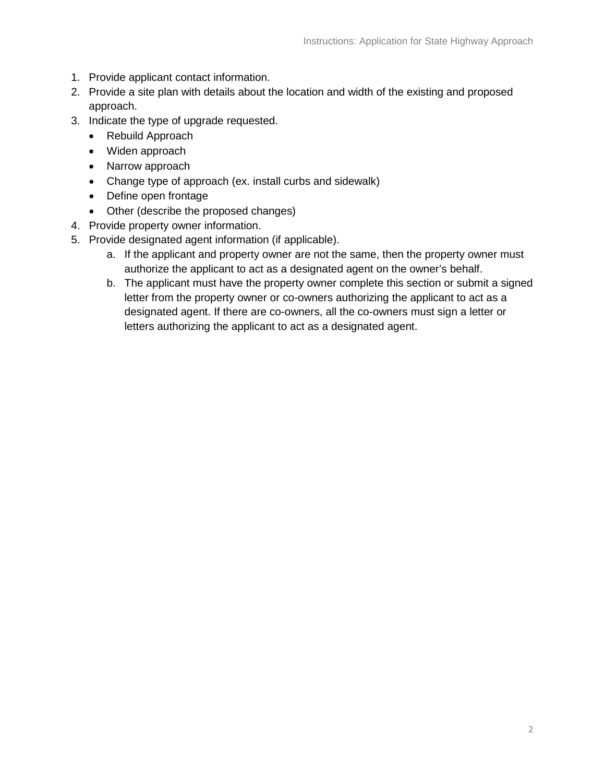- 1. Provide applicant contact information.
- 2. Provide a site plan with details about the location and width of the existing and proposed approach.
- 3. Indicate the type of upgrade requested.
	- Rebuild Approach
	- Widen approach
	- Narrow approach
	- Change type of approach (ex. install curbs and sidewalk)
	- Define open frontage
	- Other (describe the proposed changes)
- 4. Provide property owner information.
- 5. Provide designated agent information (if applicable).
	- a. If the applicant and property owner are not the same, then the property owner must authorize the applicant to act as a designated agent on the owner's behalf.
	- b. The applicant must have the property owner complete this section or submit a signed letter from the property owner or co-owners authorizing the applicant to act as a designated agent. If there are co-owners, all the co-owners must sign a letter or letters authorizing the applicant to act as a designated agent.